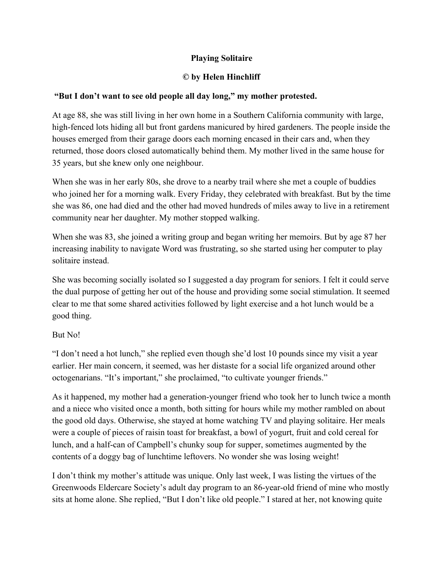## **Playing Solitaire**

## **© by Helen Hinchliff**

## **"But I don't want to see old people all day long," my mother protested.**

At age 88, she was still living in her own home in a Southern California community with large, high-fenced lots hiding all but front gardens manicured by hired gardeners. The people inside the houses emerged from their garage doors each morning encased in their cars and, when they returned, those doors closed automatically behind them. My mother lived in the same house for 35 years, but she knew only one neighbour.

When she was in her early 80s, she drove to a nearby trail where she met a couple of buddies who joined her for a morning walk. Every Friday, they celebrated with breakfast. But by the time she was 86, one had died and the other had moved hundreds of miles away to live in a retirement community near her daughter. My mother stopped walking.

When she was 83, she joined a writing group and began writing her memoirs. But by age 87 her increasing inability to navigate Word was frustrating, so she started using her computer to play solitaire instead.

She was becoming socially isolated so I suggested a day program for seniors. I felt it could serve the dual purpose of getting her out of the house and providing some social stimulation. It seemed clear to me that some shared activities followed by light exercise and a hot lunch would be a good thing.

## But No!

"I don't need a hot lunch," she replied even though she'd lost 10 pounds since my visit a year earlier. Her main concern, it seemed, was her distaste for a social life organized around other octogenarians. "It's important," she proclaimed, "to cultivate younger friends."

As it happened, my mother had a generation-younger friend who took her to lunch twice a month and a niece who visited once a month, both sitting for hours while my mother rambled on about the good old days. Otherwise, she stayed at home watching TV and playing solitaire. Her meals were a couple of pieces of raisin toast for breakfast, a bowl of yogurt, fruit and cold cereal for lunch, and a half-can of Campbell's chunky soup for supper, sometimes augmented by the contents of a doggy bag of lunchtime leftovers. No wonder she was losing weight!

I don't think my mother's attitude was unique. Only last week, I was listing the virtues of the Greenwoods Eldercare Society's adult day program to an 86-year-old friend of mine who mostly sits at home alone. She replied, "But I don't like old people." I stared at her, not knowing quite